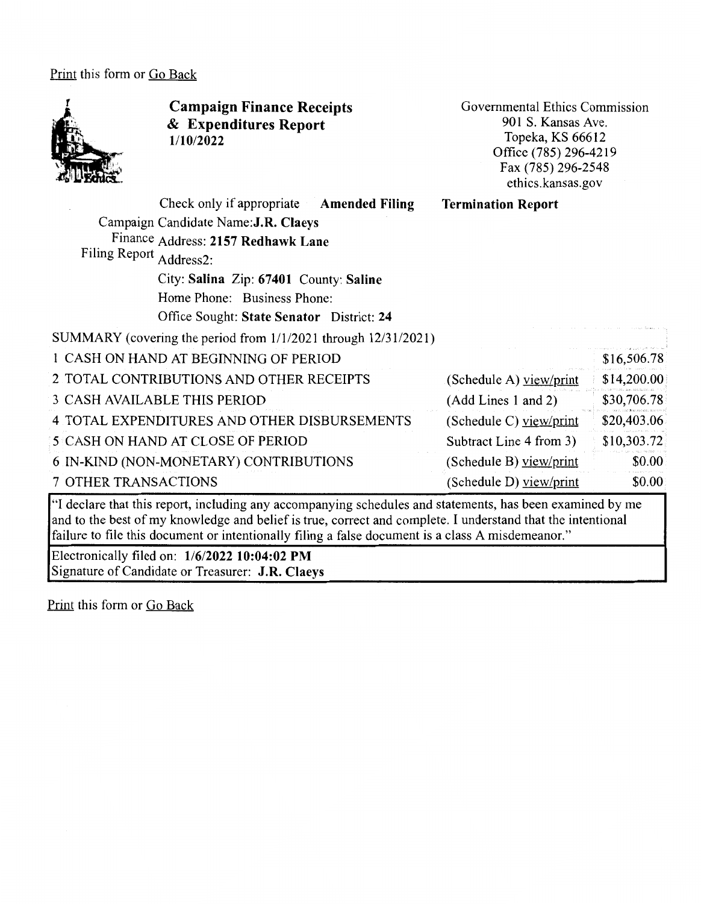Print this form or Go Back



**Campaign Finance Receipts**  & **Expenditures Report 1/10/2022** 

Governmental Ethics Commission 901 S. Kansas Ave. Topeka, KS 66612 Office (785) 296-4219 Fax (785) 296-2548 ethics.kansas.gov

| Check only if appropriate Amended Filing                                                                  | <b>Termination Report</b> |             |
|-----------------------------------------------------------------------------------------------------------|---------------------------|-------------|
| Campaign Candidate Name: J.R. Claeys                                                                      |                           |             |
| Finance Address: 2157 Redhawk Lane                                                                        |                           |             |
| Filing Report Address2:                                                                                   |                           |             |
| City: Salina Zip: 67401 County: Saline                                                                    |                           |             |
| Home Phone: Business Phone:                                                                               |                           |             |
| Office Sought: State Senator District: 24                                                                 |                           |             |
| SUMMARY (covering the period from 1/1/2021 through 12/31/2021)                                            |                           |             |
| 1 CASH ON HAND AT BEGINNING OF PERIOD                                                                     |                           | \$16,506.78 |
| 2 TOTAL CONTRIBUTIONS AND OTHER RECEIPTS                                                                  | (Schedule A) view/print   | \$14,200.00 |
| 3 CASH AVAILABLE THIS PERIOD                                                                              | (Add Lines 1 and 2)       | \$30,706.78 |
| 4 TOTAL EXPENDITURES AND OTHER DISBURSEMENTS                                                              | (Schedule C) view/print   | \$20,403.06 |
| <b>5 CASH ON HAND AT CLOSE OF PERIOD</b>                                                                  | Subtract Line 4 from 3)   | \$10,303.72 |
| 6 IN-KIND (NON-MONETARY) CONTRIBUTIONS                                                                    | (Schedule B) view/print   | \$0.00      |
| <b>7 OTHER TRANSACTIONS</b>                                                                               | (Schedule D) view/print   | \$0.00      |
| "I declare that this report, including any accompanying schedules and statements, has been examined by me |                           |             |

"I declare that this report, including any accompanying schedules and statements, has been examined by me and to the best of my knowledge and belief is true, correct and complete. I understand that the intentional failure to file this document or intentionally filing a false document is a class A misdemeanor."

Electronically filed on: **1/6/2022 10:04:02 PM**  Signature of Candidate or Treasurer: **J.R. Claeys** 

Print this form or Go Back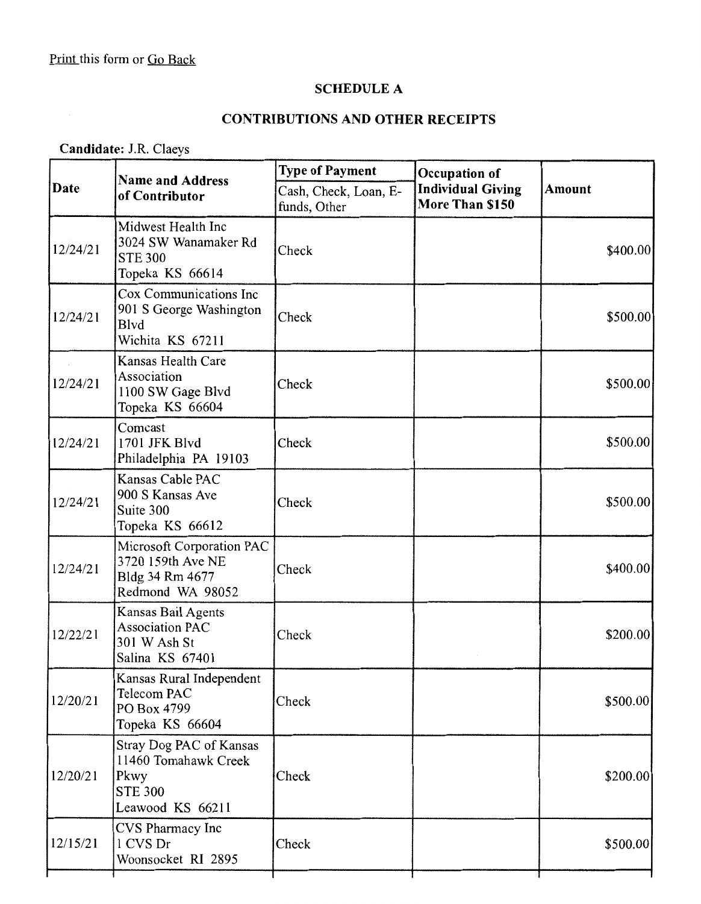## **SCHEDULE A**

## **CONTRIBUTIONS AND OTHER RECEIPTS**

**Candidate:** J.R. Claeys

| Date     | <b>Name and Address</b><br>of Contributor                                                     | <b>Type of Payment</b>                | Occupation of                               |               |  |
|----------|-----------------------------------------------------------------------------------------------|---------------------------------------|---------------------------------------------|---------------|--|
|          |                                                                                               | Cash, Check, Loan, E-<br>funds, Other | <b>Individual Giving</b><br>More Than \$150 | <b>Amount</b> |  |
| 12/24/21 | Midwest Health Inc<br>3024 SW Wanamaker Rd<br><b>STE 300</b><br>Topeka KS 66614               | Check                                 |                                             | \$400.00]     |  |
| 12/24/21 | Cox Communications Inc<br>901 S George Washington<br><b>B</b> lvd<br>Wichita KS 67211         | Check                                 |                                             | \$500.00      |  |
| 12/24/21 | Kansas Health Care<br>Association<br>1100 SW Gage Blvd<br>Topeka KS 66604                     | Check                                 |                                             | \$500.00      |  |
| 12/24/21 | Comcast<br>1701 JFK Blvd<br>Philadelphia PA 19103                                             | Check                                 |                                             | \$500.00      |  |
| 12/24/21 | Kansas Cable PAC<br>900 S Kansas Ave<br>Suite 300<br>Topeka KS 66612                          | Check                                 |                                             | \$500.00      |  |
| 12/24/21 | Microsoft Corporation PAC<br>3720 159th Ave NE<br>Bldg 34 Rm 4677<br>Redmond WA 98052         | Check                                 |                                             | \$400.00      |  |
| 12/22/21 | Kansas Bail Agents<br><b>Association PAC</b><br>301 W Ash St<br>Salina KS 67401               | Check                                 |                                             | \$200.00      |  |
| 12/20/21 | Kansas Rural Independent<br>Telecom PAC<br>PO Box 4799<br>Topeka KS 66604                     | Check                                 |                                             | \$500.00      |  |
| 12/20/21 | Stray Dog PAC of Kansas<br>11460 Tomahawk Creek<br>Pkwy<br><b>STE 300</b><br>Leawood KS 66211 | Check                                 |                                             | \$200.00]     |  |
| 12/15/21 | CVS Pharmacy Inc<br>1 CVS Dr<br>Woonsocket RI 2895                                            | Check                                 |                                             | \$500.00      |  |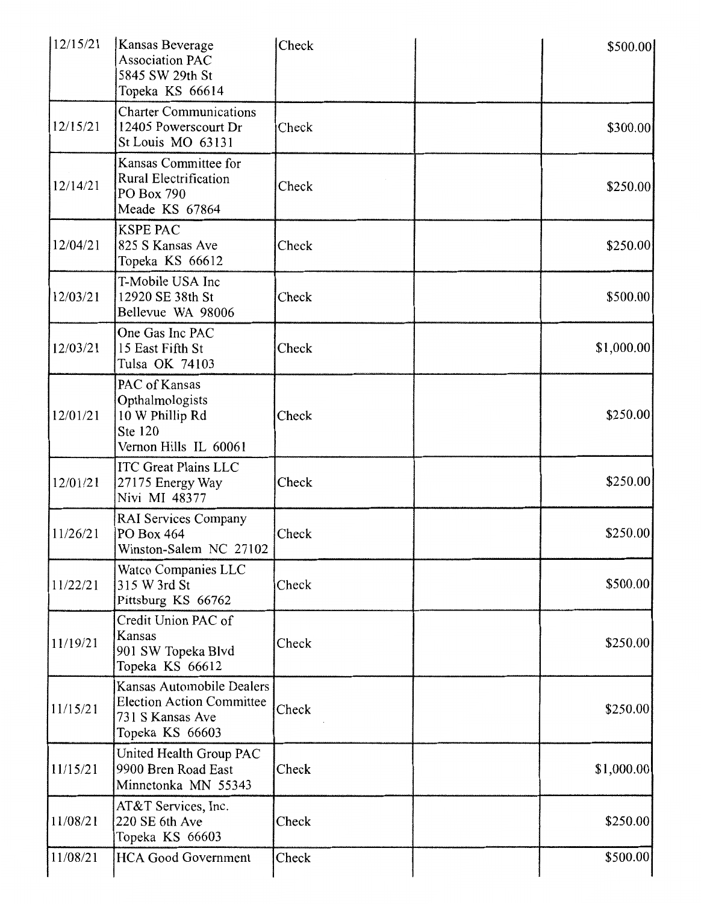| 12/15/21 | Kansas Beverage<br><b>Association PAC</b><br>5845 SW 29th St<br>Topeka KS 66614                      | Check | \$500.00   |
|----------|------------------------------------------------------------------------------------------------------|-------|------------|
| 12/15/21 | <b>Charter Communications</b><br>12405 Powerscourt Dr<br>St Louis MO 63131                           | Check | \$300.00   |
| 12/14/21 | Kansas Committee for<br><b>Rural Electrification</b><br>PO Box 790<br>Meade KS 67864                 | Check | \$250.00   |
| 12/04/21 | <b>KSPE PAC</b><br>825 S Kansas Ave<br>Topeka KS 66612                                               | Check | \$250.00   |
| 12/03/21 | T-Mobile USA Inc<br>12920 SE 38th St<br>Bellevue WA 98006                                            | Check | \$500.00   |
| 12/03/21 | One Gas Inc PAC<br>15 East Fifth St<br>Tulsa OK 74103                                                | Check | \$1,000.00 |
| 12/01/21 | PAC of Kansas<br>Opthalmologists<br>10 W Phillip Rd<br>Ste 120<br>Vernon Hills IL 60061              | Check | \$250.00   |
| 12/01/21 | <b>ITC Great Plains LLC</b><br>27175 Energy Way<br>Nivi MI 48377                                     | Check | \$250.00   |
| 11/26/21 | <b>RAI Services Company</b><br>PO Box 464<br>Winston-Salem NC 27102                                  | Check | \$250.00   |
| 11/22/21 | Watco Companies LLC<br>315 W 3rd St<br>Pittsburg KS 66762                                            | Check | \$500.00   |
| 11/19/21 | Credit Union PAC of<br>Kansas<br>901 SW Topeka Blvd<br>Topeka KS 66612                               | Check | \$250.00   |
| 11/15/21 | Kansas Automobile Dealers<br><b>Election Action Committee</b><br>731 S Kansas Ave<br>Topeka KS 66603 | Check | \$250.00   |
| 11/15/21 | United Health Group PAC<br>9900 Bren Road East<br>Minnetonka MN 55343                                | Check | \$1,000.00 |
| 11/08/21 | AT&T Services, Inc.<br>220 SE 6th Ave<br>Topeka KS 66603                                             | Check | \$250.00   |
| 11/08/21 | <b>HCA Good Government</b>                                                                           | Check | \$500.00   |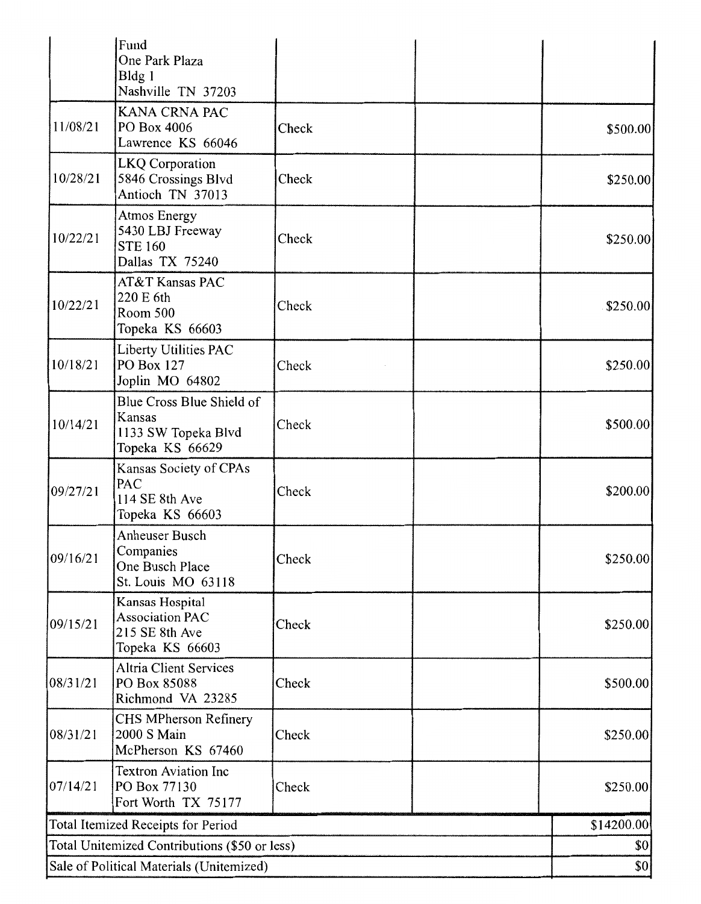|                                               | Fund<br>One Park Plaza<br>Bldg 1                                               |       |            |          |
|-----------------------------------------------|--------------------------------------------------------------------------------|-------|------------|----------|
|                                               | Nashville TN 37203                                                             |       |            |          |
| 11/08/21                                      | KANA CRNA PAC<br>PO Box 4006<br>Lawrence KS 66046                              | Check |            | \$500.00 |
| 10/28/21                                      | LKQ Corporation<br>5846 Crossings Blvd<br>Antioch TN 37013                     | Check |            | \$250.00 |
| 10/22/21                                      | Atmos Energy<br>5430 LBJ Freeway<br><b>STE 160</b><br>Dallas TX 75240          | Check |            | \$250.00 |
| 10/22/21                                      | AT&T Kansas PAC<br>220 E 6th<br>Room 500<br>Topeka KS 66603                    | Check |            | \$250.00 |
| 10/18/21                                      | Liberty Utilities PAC<br>PO Box 127<br>Joplin MO 64802                         | Check |            | \$250.00 |
| 10/14/21                                      | Blue Cross Blue Shield of<br>Kansas<br>1133 SW Topeka Blvd<br>Topeka KS 66629  | Check |            | \$500.00 |
| 09/27/21                                      | Kansas Society of CPAs<br>PAC<br>114 SE 8th Ave<br>Topeka KS 66603             | Check |            | \$200.00 |
| 09/16/21                                      | Anheuser Busch<br>Companies<br>One Busch Place<br>St. Louis MO 63118           | Check |            | \$250.00 |
| 09/15/21                                      | Kansas Hospital<br><b>Association PAC</b><br>215 SE 8th Ave<br>Topeka KS 66603 | Check |            | \$250.00 |
| 08/31/21                                      | <b>Altria Client Services</b><br>PO Box 85088<br>Richmond VA 23285             | Check |            | \$500.00 |
| 08/31/21                                      | CHS MPherson Refinery<br>2000 S Main<br>McPherson KS 67460                     | Check |            | \$250.00 |
| 07/14/21                                      | <b>Textron Aviation Inc</b><br>PO Box 77130<br>Fort Worth TX 75177             | Check |            | \$250.00 |
| Total Itemized Receipts for Period            |                                                                                |       | \$14200.00 |          |
| Total Unitemized Contributions (\$50 or less) |                                                                                |       | \$0        |          |
| Sale of Political Materials (Unitemized)      |                                                                                |       | \$0]       |          |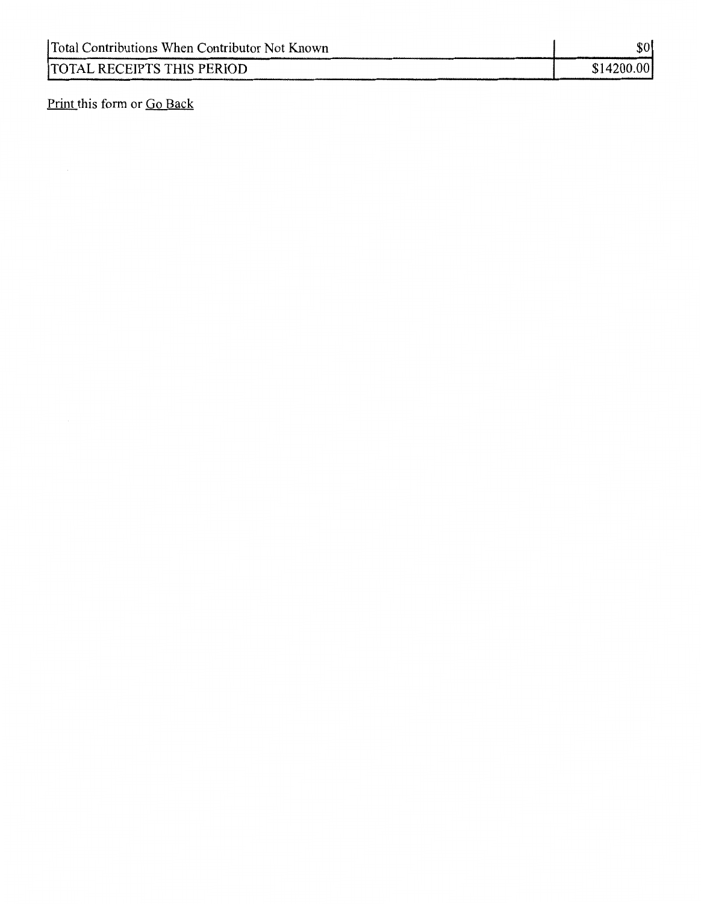| Total Contributions When Contributor Not Known | \$0        |
|------------------------------------------------|------------|
| TOTAL RECEIPTS THIS PERIOD                     | \$14200.00 |

Print this form or Go Back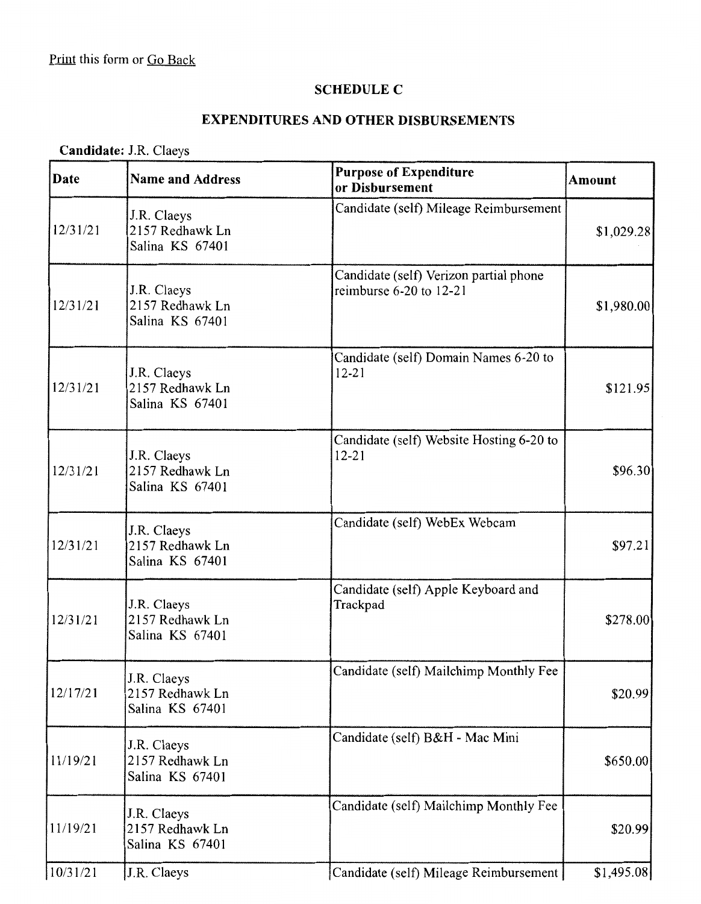#### **SCHEDULE C**

### **EXPENDITURES AND OTHER DISBURSEMENTS**

# **Candidate:** J.R. Claeys

| Date     | <b>Name and Address</b>                           | <b>Purpose of Expenditure</b><br>or Disbursement                      | <b>Amount</b> |
|----------|---------------------------------------------------|-----------------------------------------------------------------------|---------------|
| 12/31/21 | J.R. Claeys<br>2157 Redhawk Ln<br>Salina KS 67401 | Candidate (self) Mileage Reimbursement                                | \$1,029.28    |
| 12/31/21 | J.R. Claeys<br>2157 Redhawk Ln<br>Salina KS 67401 | Candidate (self) Verizon partial phone<br>reimburse $6-20$ to $12-21$ | \$1,980.00    |
| 12/31/21 | J.R. Claeys<br>2157 Redhawk Ln<br>Salina KS 67401 | Candidate (self) Domain Names 6-20 to<br>$12 - 21$                    | \$121.95      |
| 12/31/21 | J.R. Claeys<br>2157 Redhawk Ln<br>Salina KS 67401 | Candidate (self) Website Hosting 6-20 to<br>$12 - 21$                 | \$96.30       |
| 12/31/21 | J.R. Claeys<br>2157 Redhawk Ln<br>Salina KS 67401 | Candidate (self) WebEx Webcam                                         | \$97.21       |
| 12/31/21 | J.R. Claeys<br>2157 Redhawk Ln<br>Salina KS 67401 | Candidate (self) Apple Keyboard and<br>Trackpad                       | \$278.00      |
| 12/17/21 | J.R. Claeys<br>2157 Redhawk Ln<br>Salina KS 67401 | Candidate (self) Mailchimp Monthly Fee                                | \$20.99       |
| 11/19/21 | J.R. Claeys<br>2157 Redhawk Ln<br>Salina KS 67401 | Candidate (self) B&H - Mac Mini                                       | \$650.00      |
| 11/19/21 | J.R. Claeys<br>2157 Redhawk Ln<br>Salina KS 67401 | Candidate (self) Mailchimp Monthly Fee                                | \$20.99       |
| 10/31/21 | J.R. Claeys                                       | Candidate (self) Mileage Reimbursement                                | \$1,495.08    |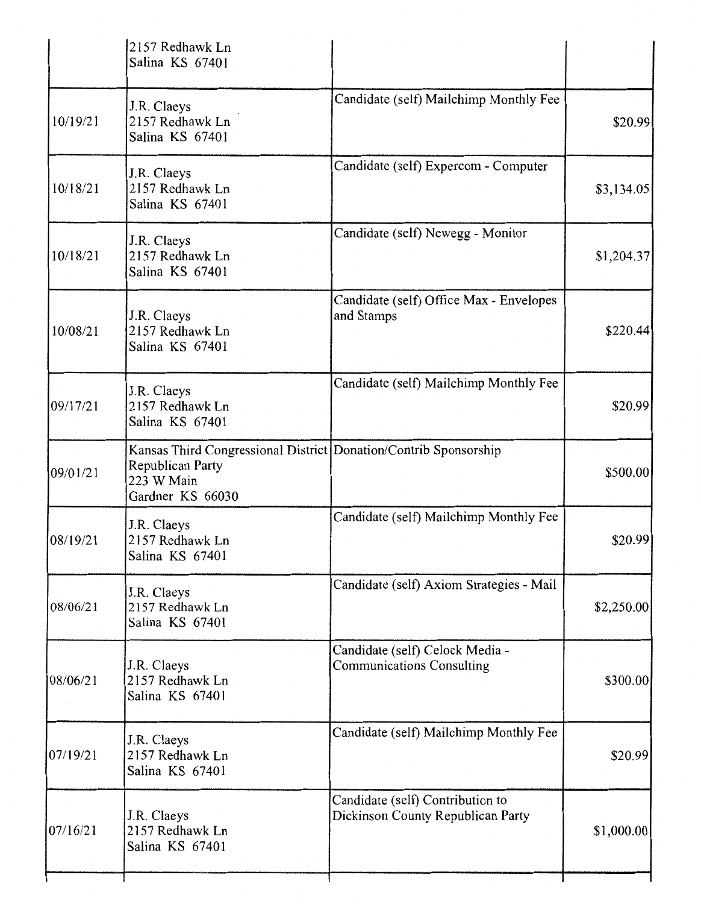|            | 2157 Redhawk Ln<br>Salina KS 67401                                                                                     |                                                                       |            |
|------------|------------------------------------------------------------------------------------------------------------------------|-----------------------------------------------------------------------|------------|
| 10/19/21   | J.R. Claeys<br>2157 Redhawk Ln<br>Salina KS 67401                                                                      | Candidate (self) Mailchimp Monthly Fee                                | \$20.99    |
| 10/18/21   | J.R. Claeys<br>2157 Redhawk Ln<br>Salina KS 67401                                                                      | Candidate (self) Expercom - Computer                                  | \$3,134.05 |
| 10/18/21   | J.R. Claeys<br>2157 Redhawk Ln<br>Salina KS 67401                                                                      | Candidate (self) Newegg - Monitor                                     | \$1,204.37 |
| 10/08/21   | J.R. Claeys<br>2157 Redhawk Ln<br>Salina KS 67401                                                                      | Candidate (self) Office Max - Envelopes<br>and Stamps                 | \$220.44   |
| 09/17/21   | J.R. Claeys<br>2157 Redhawk Ln<br>Salina KS 67401                                                                      | Candidate (self) Mailchimp Monthly Fee                                | \$20.99    |
| 09/01/21   | Kansas Third Congressional District Donation/Contrib Sponsorship<br>Republican Party<br>223 W Main<br>Gardner KS 66030 |                                                                       | \$500.00   |
| [08/19/21] | J.R. Claeys<br>2157 Redhawk Ln<br>Salina KS 67401                                                                      | Candidate (self) Mailchimp Monthly Fee                                | \$20.99    |
| 08/06/21   | J.R. Claeys<br>2157 Redhawk Ln<br>Salina KS 67401                                                                      | Candidate (self) Axiom Strategies - Mail                              | \$2,250.00 |
| 08/06/21   | J.R. Claeys<br>2157 Redhawk Ln<br>Salina KS 67401                                                                      | Candidate (self) Celock Media -<br><b>Communications Consulting</b>   | \$300.00   |
| 07/19/21   | J.R. Claeys<br>2157 Redhawk Ln<br>Salina KS 67401                                                                      | Candidate (self) Mailchimp Monthly Fee                                | \$20.99    |
| 07/16/21   | J.R. Claeys<br>2157 Redhawk Ln<br>Salina KS 67401                                                                      | Candidate (self) Contribution to<br>Dickinson County Republican Party | \$1,000.00 |
|            |                                                                                                                        |                                                                       |            |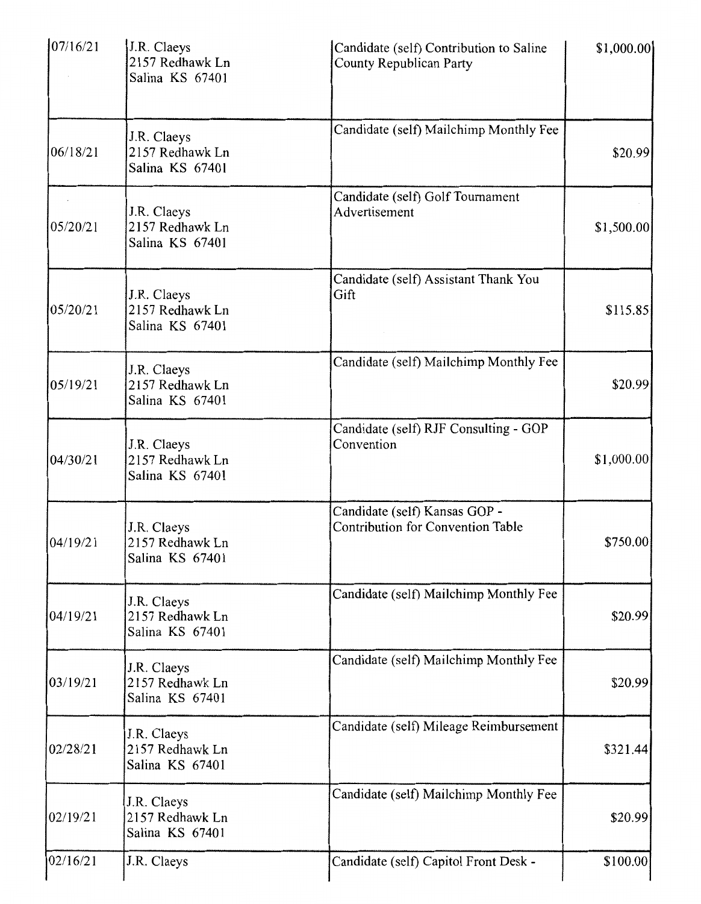| 07/16/21 | J.R. Claeys<br>2157 Redhawk Ln<br>Salina KS 67401 | Candidate (self) Contribution to Saline<br>County Republican Party        | \$1,000.00] |
|----------|---------------------------------------------------|---------------------------------------------------------------------------|-------------|
| 06/18/21 | J.R. Claeys<br>2157 Redhawk Ln<br>Salina KS 67401 | Candidate (self) Mailchimp Monthly Fee                                    | \$20.99     |
| 05/20/21 | J.R. Claeys<br>2157 Redhawk Ln<br>Salina KS 67401 | Candidate (self) Golf Tournament<br>Advertisement                         | \$1,500.00  |
| 05/20/21 | J.R. Claeys<br>2157 Redhawk Ln<br>Salina KS 67401 | Candidate (self) Assistant Thank You<br>Gift                              | \$115.85    |
| 05/19/21 | J.R. Claeys<br>2157 Redhawk Ln<br>Salina KS 67401 | Candidate (self) Mailchimp Monthly Fee                                    | \$20.99     |
| 04/30/21 | J.R. Claeys<br>2157 Redhawk Ln<br>Salina KS 67401 | Candidate (self) RJF Consulting - GOP<br>Convention                       | \$1,000.00  |
| 04/19/21 | J.R. Claeys<br>2157 Redhawk Ln<br>Salina KS 67401 | Candidate (self) Kansas GOP -<br><b>Contribution for Convention Table</b> | \$750.00    |
| 04/19/21 | J.R. Claeys<br>2157 Redhawk Ln<br>Salina KS 67401 | Candidate (self) Mailchimp Monthly Fee                                    | \$20.99     |
| 03/19/21 | J.R. Claeys<br>2157 Redhawk Ln<br>Salina KS 67401 | Candidate (self) Mailchimp Monthly Fee                                    | \$20.99     |
| 02/28/21 | J.R. Claeys<br>2157 Redhawk Ln<br>Salina KS 67401 | Candidate (self) Mileage Reimbursement                                    | \$321.44    |
| 02/19/21 | J.R. Claeys<br>2157 Redhawk Ln<br>Salina KS 67401 | Candidate (self) Mailchimp Monthly Fee                                    | \$20.99     |
| 02/16/21 | J.R. Claeys                                       | Candidate (self) Capitol Front Desk -                                     | \$100.00    |